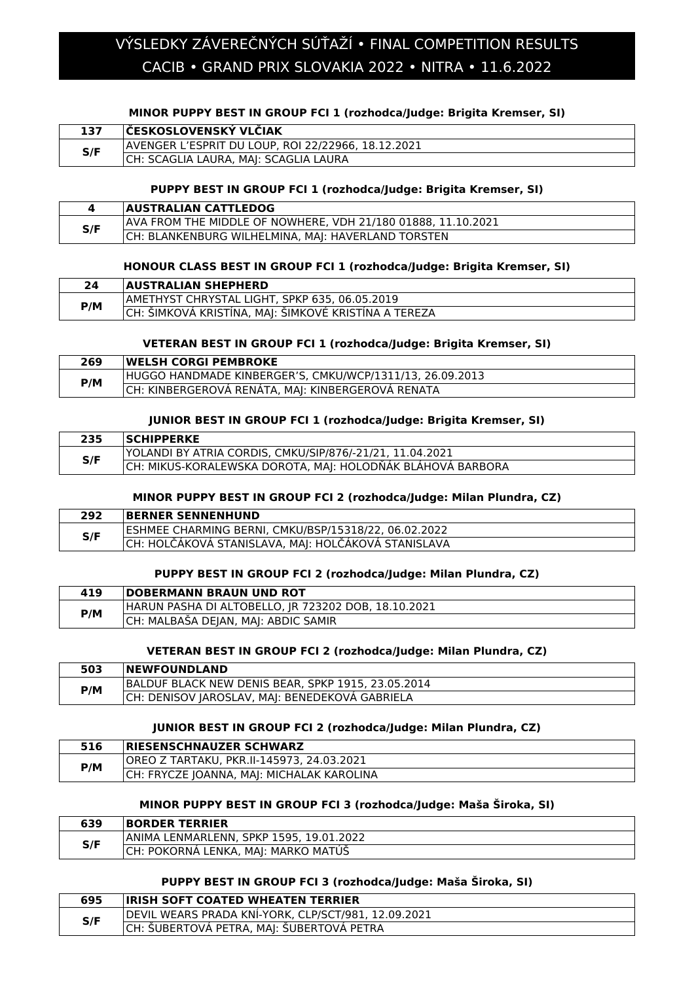# CACIB • GRAND PRIX SLOVAKIA 2022 • NITRA • 11.6.2022 VÝSLEDKY ZÁVEREČNÝCH SÚŤAŽÍ • FINAL COMPETITION RESULTS

#### **MINOR PUPPY BEST IN GROUP FCI 1 (rozhodca/Judge: Brigita Kremser, SI)**

| 137 | <b>IČESKOSLOVENSKÝ VLČIAK</b>                      |
|-----|----------------------------------------------------|
| S/F | AVENGER L'ESPRIT DU LOUP, ROI 22/22966, 18.12.2021 |
|     | CH: SCAGLIA LAURA, MAJ: SCAGLIA LAURA              |

### **PUPPY BEST IN GROUP FCI 1 (rozhodca/Judge: Brigita Kremser, SI)**

|     | <b>AUSTRALIAN CATTLEDOG</b>                                  |
|-----|--------------------------------------------------------------|
| S/F | AVA FROM THE MIDDLE OF NOWHERE, VDH 21/180 01888, 11.10.2021 |
|     | CH: BLANKENBURG WILHELMINA, MAJ: HAVERLAND TORSTEN           |

### **HONOUR CLASS BEST IN GROUP FCI 1 (rozhodca/Judge: Brigita Kremser, SI)**

| 24  | <b>AUSTRALIAN SHEPHERD</b>                           |
|-----|------------------------------------------------------|
| P/M | AMETHYST CHRYSTAL LIGHT, SPKP 635, 06.05.2019        |
|     | CH: ŠIMKOVÁ KRISTÍNA, MAJ: ŠIMKOVÉ KRISTÍNA A TEREZA |

### **VETERAN BEST IN GROUP FCI 1 (rozhodca/Judge: Brigita Kremser, SI)**

| 269 | <b>IWELSH CORGI PEMBROKE</b>                             |
|-----|----------------------------------------------------------|
| P/M | HUGGO HANDMADE KINBERGER'S, CMKU/WCP/1311/13, 26.09.2013 |
|     | CH: KINBERGEROVA RENATA, MAJ: KINBERGEROVÁ RENATA        |

#### **JUNIOR BEST IN GROUP FCI 1 (rozhodca/Judge: Brigita Kremser, SI)**

| 235 | <b>SCHIPPERKE</b>                                          |
|-----|------------------------------------------------------------|
| S/F | YOLANDI BY ATRIA CORDIS, CMKU/SIP/876/-21/21, 11.04.2021   |
|     | CH: MIKUS-KORALEWSKA DOROTA, MAJ: HOLODŇÁK BLÁHOVÁ BARBORA |

# **MINOR PUPPY BEST IN GROUP FCI 2 (rozhodca/Judge: Milan Plundra, CZ)**

| 292 | <b>BERNER SENNENHUND</b>                              |
|-----|-------------------------------------------------------|
| S/F | IESHMEE CHARMING BERNI. CMKU/BSP/15318/22. 06.02.2022 |
|     | CH: HOLČÁKOVÁ STANISLAVA, MAJ: HOLČÁKOVÁ STANISLAVA   |

#### **PUPPY BEST IN GROUP FCI 2 (rozhodca/Judge: Milan Plundra, CZ)**

| 419 | <b>DOBERMANN BRAUN UND ROT</b>                      |
|-----|-----------------------------------------------------|
| P/M | HARUN PASHA DI ALTOBELLO, JR 723202 DOB, 18.10.2021 |
|     | CH: MALBASA DEJAN, MAJ: ABDIC SAMIR                 |

#### **VETERAN BEST IN GROUP FCI 2 (rozhodca/Judge: Milan Plundra, CZ)**

| 503 | <b>NEWFOUNDLAND</b>                                |
|-----|----------------------------------------------------|
| P/M | BALDUF BLACK NEW DENIS BEAR, SPKP 1915, 23.05.2014 |
|     | CH: DENISOV JAROSLAV, MAJ: BENEDEKOVÁ GABRIELA     |

#### **JUNIOR BEST IN GROUP FCI 2 (rozhodca/Judge: Milan Plundra, CZ)**

| 516 | <b>IRIESENSCHNAUZER SCHWARZ</b>           |
|-----|-------------------------------------------|
| P/M | OREO Z TARTAKU, PKR.II-145973, 24.03.2021 |
|     | CH: FRYCZE JOANNA, MAJ: MICHALAK KAROLINA |

#### **MINOR PUPPY BEST IN GROUP FCI 3 (rozhodca/Judge: Maša Široka, SI)**

| 639 | <b>BORDER TERRIER</b>                    |
|-----|------------------------------------------|
| S/F | IANIMA LENMARLENN. SPKP 1595. 19.01.2022 |
|     | : POKORNA LENKA, MAI: MARKO MATUS        |

#### **PUPPY BEST IN GROUP FCI 3 (rozhodca/Judge: Maša Široka, SI)**

| 695 | <b>IRISH SOFT COATED WHEATEN TERRIER</b>            |
|-----|-----------------------------------------------------|
| S/F | DEVIL WEARS PRADA KNÍ-YORK, CLP/SCT/981, 12.09.2021 |
|     | CH: ŠUBERTOVÁ PETRA, MAJ: ŠUBERTOVÁ PETRA           |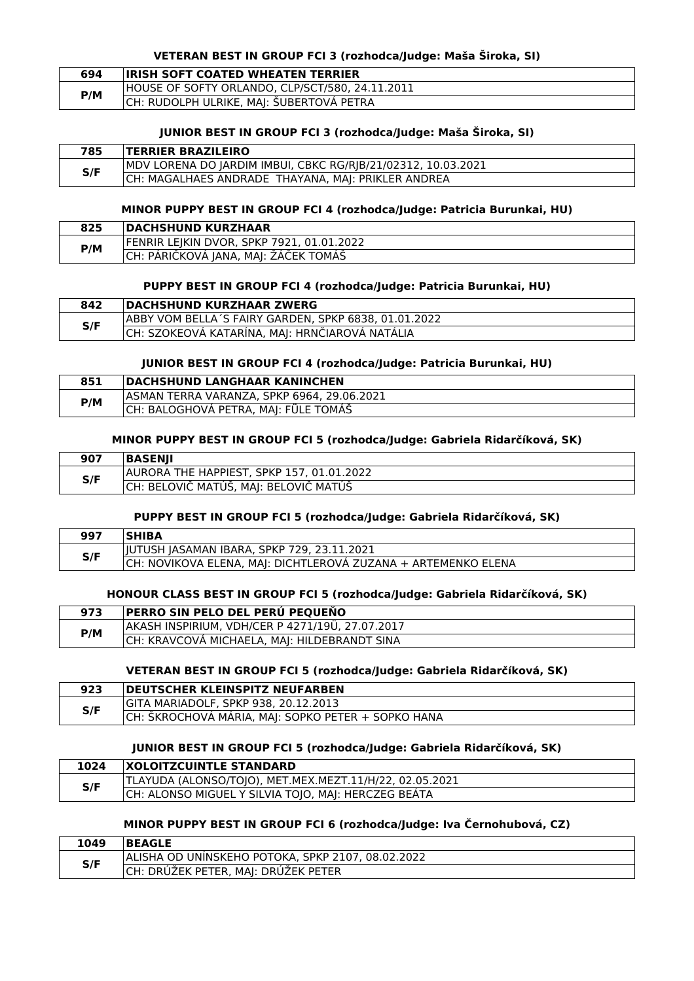#### **VETERAN BEST IN GROUP FCI 3 (rozhodca/Judge: Maša Široka, SI)**

| 694 | <b>IRISH SOFT COATED WHEATEN TERRIER</b>        |
|-----|-------------------------------------------------|
| P/M | HOUSE OF SOFTY ORLANDO, CLP/SCT/580, 24.11.2011 |
|     | CH: RUDOLPH ULRIKE, MAJ: ŠUBERTOVÁ PETRA        |

#### **JUNIOR BEST IN GROUP FCI 3 (rozhodca/Judge: Maša Široka, SI)**

| 785 | <b>TERRIER BRAZILEIRO</b>                                    |
|-----|--------------------------------------------------------------|
| S/F | MDV LORENA DO JARDIM IMBUI, CBKC RG/RJB/21/02312, 10.03.2021 |
|     | CH: MAGALHAES ANDRADE THAYANA, MAJ: PRIKLER ANDREA           |

#### **MINOR PUPPY BEST IN GROUP FCI 4 (rozhodca/Judge: Patricia Burunkai, HU)**

| 825 | <b>DACHSHUND KURZHAAR</b>                 |
|-----|-------------------------------------------|
| P/M | FENRIR LEJKIN DVOR, SPKP 7921, 01.01.2022 |
|     | CH: PÁRIČKOVÁ JANA, MAJ: ŽÁČEK TOMÁŠ      |

# **PUPPY BEST IN GROUP FCI 4 (rozhodca/Judge: Patricia Burunkai, HU)**

| 842 | <b>DACHSHUND KURZHAAR ZWERG</b>                      |
|-----|------------------------------------------------------|
| S/F | ABBY VOM BELLA'S FAIRY GARDEN. SPKP 6838. 01.01.2022 |
|     | CH: SZOKEOVÁ KATARÍNA, MAJ: HRNČIAROVÁ NATÁLIA       |
|     |                                                      |

#### **JUNIOR BEST IN GROUP FCI 4 (rozhodca/Judge: Patricia Burunkai, HU)**

| 851 | <b>DACHSHUND LANGHAAR KANINCHEN</b>         |
|-----|---------------------------------------------|
|     | JASMAN TERRA VARANZA, SPKP 6964, 29.06.2021 |
| P/M | CH: BALOGHOVÁ PETRA, MAJ: FÜLE TOMÁŠ        |

#### **MINOR PUPPY BEST IN GROUP FCI 5 (rozhodca/Judge: Gabriela Ridarčíková, SK)**

| 907 | <b>BASENII</b>                            |
|-----|-------------------------------------------|
| S/F | AURORA THE HAPPIEST, SPKP 157, 01.01.2022 |
|     | CH: BELOVIČ MATÚŠ, MAJ: BELOVIČ MATÚŠ     |

### **PUPPY BEST IN GROUP FCI 5 (rozhodca/Judge: Gabriela Ridarčíková, SK)**

| 997 | <b>SHIBA</b>                                                  |
|-----|---------------------------------------------------------------|
| S/F | JJUTUSH JASAMAN IBARA, SPKP 729, 23.11.2021                   |
|     | CH: NOVIKOVA ELENA, MAJ: DICHTLEROVÁ ZUZANA + ARTEMENKO ELENA |

## **HONOUR CLASS BEST IN GROUP FCI 5 (rozhodca/Judge: Gabriela Ridarčíková, SK)**

| 973 | <b>PERRO SIN PELO DEL PERU PEQUENO</b>          |
|-----|-------------------------------------------------|
| P/M | AKASH INSPIRIUM, VDH/CER P 4271/19Ü, 27.07.2017 |
|     | CH: KRAVCOVÁ MICHAELA, MAJ: HILDEBRANDT SINA    |

# **VETERAN BEST IN GROUP FCI 5 (rozhodca/Judge: Gabriela Ridarčíková, SK)**

| 923 | <b>DEUTSCHER KLEINSPITZ NEUFARBEN</b>              |
|-----|----------------------------------------------------|
| S/F | GITA MARIADOLF, SPKP 938, 20.12.2013               |
|     | CH: ŠKROCHOVÁ MÁRIA, MAJ: SOPKO PETER + SOPKO HANA |

## **JUNIOR BEST IN GROUP FCI 5 (rozhodca/Judge: Gabriela Ridarčíková, SK)**

| 1024 | <b>IXOLOITZCUINTLE STANDARD</b>                         |
|------|---------------------------------------------------------|
| S/F  | TLAYUDA (ALONSO/TOJO), MET.MEX.MEZT.11/H/22, 02.05.2021 |
|      | CH: ALONSO MIGUEL Y SILVIA TOJO, MAJ: HERCZEG BEÁTA     |

# **MINOR PUPPY BEST IN GROUP FCI 6 (rozhodca/Judge: Iva Černohubová, CZ)**

| 1049 | <b>BEAGLE</b>                                     |
|------|---------------------------------------------------|
| S/F  | ALISHA OD UNINSKEHO POTOKA, SPKP 2107, 08.02.2022 |
|      | ICH: DRÚŽEK PETER, MAJ: DRÚŽEK PETER              |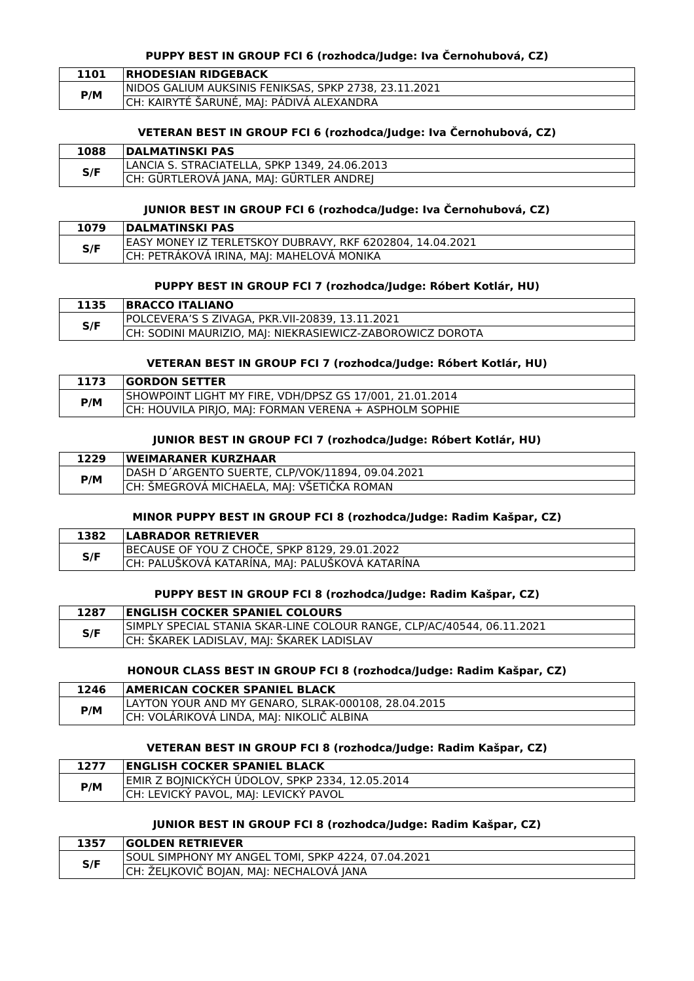### **PUPPY BEST IN GROUP FCI 6 (rozhodca/Judge: Iva Černohubová, CZ)**

| 1101 | <b>RHODESIAN RIDGEBACK</b>                             |
|------|--------------------------------------------------------|
| P/M  | INIDOS GALIUM AUKSINIS FENIKSAS, SPKP 2738, 23.11.2021 |
|      | CH: KAIRYTÉ ŠARUNÉ, MAJ: PÁDIVÁ ALEXANDRA              |

### **VETERAN BEST IN GROUP FCI 6 (rozhodca/Judge: Iva Černohubová, CZ)**

| 1088 | <b>DALMATINSKI PAS</b>                        |
|------|-----------------------------------------------|
| S/F  | LANCIA S. STRACIATELLA, SPKP 1349, 24.06.2013 |
|      | CH: GÜRTLEROVÁ JANA, MAJ: GÜRTLER ANDREJ      |

#### **JUNIOR BEST IN GROUP FCI 6 (rozhodca/Judge: Iva Černohubová, CZ)**

| 1079 | <b>IDALMATINSKI PAS</b>                                   |
|------|-----------------------------------------------------------|
| S/F  | EASY MONEY IZ TERLETSKOY DUBRAVY, RKF 6202804, 14.04.2021 |
|      | CH: PETRÁKOVÁ IRINA, MAJ: MAHELOVÁ MONIKA                 |

# **PUPPY BEST IN GROUP FCI 7 (rozhodca/Judge: Róbert Kotlár, HU)**

| 1135 | <b>BRACCO ITALIANO</b>                                    |
|------|-----------------------------------------------------------|
| S/F  | POLCEVERA'S S ZIVAGA. PKR.VII-20839. 13.11.2021           |
|      | CH: SODINI MAURIZIO, MAJ: NIEKRASIEWICZ-ZABOROWICZ DOROTA |
|      |                                                           |

#### **VETERAN BEST IN GROUP FCI 7 (rozhodca/Judge: Róbert Kotlár, HU)**

|     | <b>GORDON SETTER</b>                                    |
|-----|---------------------------------------------------------|
| P/M | SHOWPOINT LIGHT MY FIRE, VDH/DPSZ GS 17/001, 21.01.2014 |
|     | CH: HOUVILA PIRJO, MAJ: FORMAN VERENA + ASPHOLM SOPHIE  |

### **JUNIOR BEST IN GROUP FCI 7 (rozhodca/Judge: Róbert Kotlár, HU)**

| 1229 | <b>IWEIMARANER KURZHAAR</b>                      |
|------|--------------------------------------------------|
| P/M  | DASH D'ARGENTO SUERTE, CLP/VOK/11894, 09.04.2021 |
|      | CH: ŠMEGROVÁ MICHAELA, MAJ: VŠETIČKA ROMAN       |

# **MINOR PUPPY BEST IN GROUP FCI 8 (rozhodca/Judge: Radim Kašpar, CZ)**

| 1382 | <b>LABRADOR RETRIEVER</b>                       |
|------|-------------------------------------------------|
| S/F  | BECAUSE OF YOU Z CHOCE, SPKP 8129, 29.01.2022   |
|      | CH: PALUŠKOVÁ KATARÍNA, MAJ: PALUŠKOVÁ KATARÍNA |

# **PUPPY BEST IN GROUP FCI 8 (rozhodca/Judge: Radim Kašpar, CZ)**

| 1287 | <b>ENGLISH COCKER SPANIEL COLOURS</b>                                  |
|------|------------------------------------------------------------------------|
| S/F  | SIMPLY SPECIAL STANIA SKAR-LINE COLOUR RANGE, CLP/AC/40544, 06.11.2021 |
|      | CH: ŠKAREK LADISLAV, MAJ: ŠKAREK LADISLAV                              |

### **HONOUR CLASS BEST IN GROUP FCI 8 (rozhodca/Judge: Radim Kašpar, CZ)**

| 1246 | AMERICAN COCKER SPANIEL BLACK                       |
|------|-----------------------------------------------------|
| P/M  | LAYTON YOUR AND MY GENARO, SLRAK-000108, 28.04.2015 |
|      | CH: VOLÁRIKOVÁ LINDA, MAJ: NIKOLIČ ALBINA           |

#### **VETERAN BEST IN GROUP FCI 8 (rozhodca/Judge: Radim Kašpar, CZ)**

| 1277 | ENGLISH COCKER SPANIEL BLACK!                   |
|------|-------------------------------------------------|
| P/M  | EMIR Z BOJNICKÝCH ÚDOLOV, SPKP 2334, 12.05.2014 |
|      | CH: LEVICKÝ PAVOL, MAJ: LEVICKÝ PAVOL           |

### **JUNIOR BEST IN GROUP FCI 8 (rozhodca/Judge: Radim Kašpar, CZ)**

| 1357 | <b>GOLDEN RETRIEVER</b>                            |
|------|----------------------------------------------------|
| S/F  | SOUL SIMPHONY MY ANGEL TOMI, SPKP 4224, 07.04.2021 |
|      | CH: ZELIKOVIC BOIAN, MAI: NECHALOVA JANA           |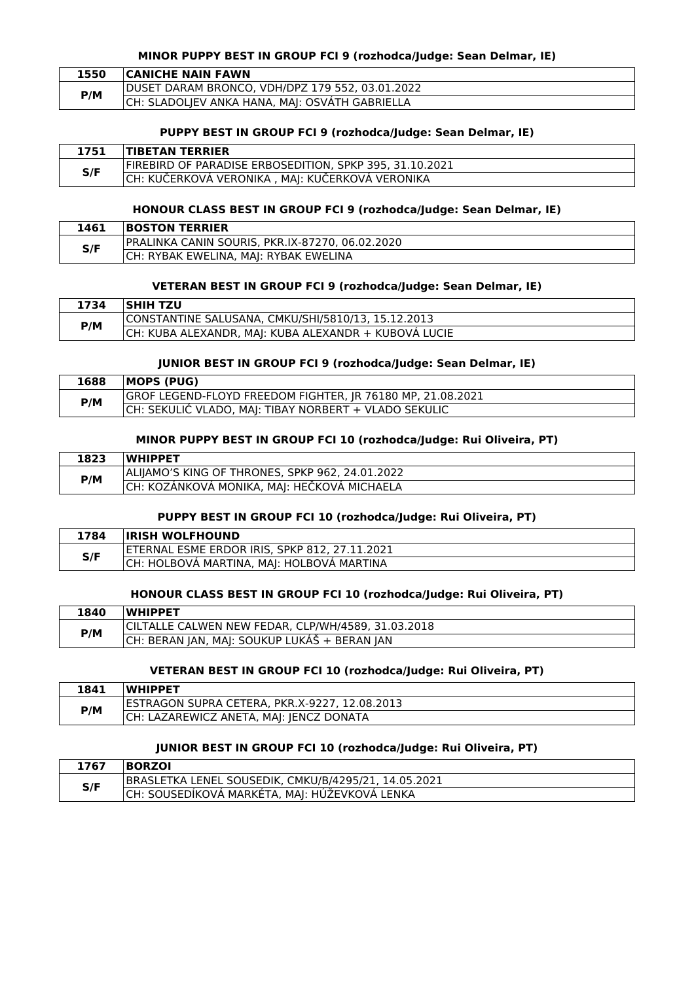#### **MINOR PUPPY BEST IN GROUP FCI 9 (rozhodca/Judge: Sean Delmar, IE)**

| 1550 | <b>CANICHE NAIN FAWN</b>                        |
|------|-------------------------------------------------|
| P/M  | DUSET DARAM BRONCO, VDH/DPZ 179 552, 03.01.2022 |
|      | CH: SLADOLJEV ANKA HANA, MAJ: OSVÁTH GABRIELLA  |

#### **PUPPY BEST IN GROUP FCI 9 (rozhodca/Judge: Sean Delmar, IE)**

| 1751 | <b>TIBETAN TERRIER</b>                                  |
|------|---------------------------------------------------------|
| S/F  | FIREBIRD OF PARADISE ERBOSEDITION. SPKP 395. 31.10.2021 |
|      | CH: KUČERKOVÁ VERONIKA , MAJ: KUČERKOVÁ VERONIKA        |

#### **HONOUR CLASS BEST IN GROUP FCI 9 (rozhodca/Judge: Sean Delmar, IE)**

| 1461 | <b>BOSTON TERRIER</b>                           |
|------|-------------------------------------------------|
| S/F  | PRALINKA CANIN SOURIS, PKR.IX-87270, 06.02.2020 |
|      | CH: RYBAK EWELINA, MAJ: RYBAK EWELINA           |

# **VETERAN BEST IN GROUP FCI 9 (rozhodca/Judge: Sean Delmar, IE)**

| 1734 | <b>ISHIH TZU</b>                                     |
|------|------------------------------------------------------|
| P/M  | CONSTANTINE SALUSANA, CMKU/SHI/5810/13, 15.12.2013   |
|      | CH: KUBA ALEXANDR. MAI: KUBA ALEXANDR + KUBOVA LUCIE |

#### **JUNIOR BEST IN GROUP FCI 9 (rozhodca/Judge: Sean Delmar, IE)**

| 1688 | MOPS (PUG)                                                 |
|------|------------------------------------------------------------|
| P/M  | GROF LEGEND-FLOYD FREEDOM FIGHTER, JR 76180 MP, 21.08.2021 |
|      | CH: SEKULIĆ VLADO, MAJ: TIBAY NORBERT + VLADO SEKULIC      |

#### **MINOR PUPPY BEST IN GROUP FCI 10 (rozhodca/Judge: Rui Oliveira, PT)**

| 1823 | <b>WHIPPET</b>                                  |
|------|-------------------------------------------------|
| P/M  | ALIIAMO'S KING OF THRONES. SPKP 962. 24.01.2022 |
|      | CH: KOZANKOVA MONIKA, MAJ: HEČKOVA MICHAELA     |

# **PUPPY BEST IN GROUP FCI 10 (rozhodca/Judge: Rui Oliveira, PT)**

| 1784 | <b>IRISH WOLFHOUND</b>                        |
|------|-----------------------------------------------|
| S/F  | ETERNAL ESME ERDOR IRIS, SPKP 812, 27.11.2021 |
|      | CH: HOLBOVA MARTINA, MAJ: HOLBOVÁ MARTINA     |

## **HONOUR CLASS BEST IN GROUP FCI 10 (rozhodca/Judge: Rui Oliveira, PT)**

| 1840 | <b>WHIPPET</b>                                     |
|------|----------------------------------------------------|
| P/M  | CILTALLE CALWEN NEW FEDAR, CLP/WH/4589, 31.03.2018 |
|      | CH: BERAN JAN, MAJ: SOUKUP LUKAS + BERAN JAN       |

### **VETERAN BEST IN GROUP FCI 10 (rozhodca/Judge: Rui Oliveira, PT)**

| 1841 | <b>WHIPPET</b>                                |
|------|-----------------------------------------------|
| P/M  | ESTRAGON SUPRA CETERA, PKR.X-9227, 12.08.2013 |
|      | CH: LAZAREWICZ ANETA, MAJ: JENCZ DONATA       |

#### **JUNIOR BEST IN GROUP FCI 10 (rozhodca/Judge: Rui Oliveira, PT)**

| 1767 | <b>BORZOI</b>                                        |
|------|------------------------------------------------------|
|      | BRASLETKA LENEL SOUSEDIK, CMKU/B/4295/21, 14.05.2021 |
| S/F  | CH: SOUSEDÍKOVÁ MARKÉTA, MAJ: HÚŽEVKOVÁ LENKA        |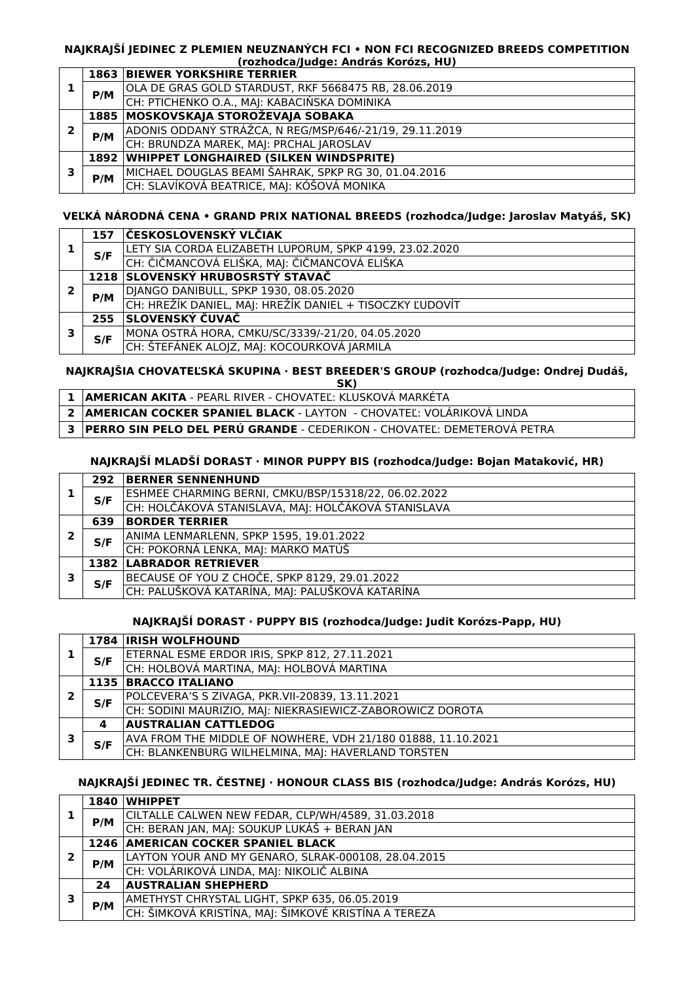#### **NAJKRAJŠÍ JEDINEC Z PLEMIEN NEUZNANÝCH FCI • NON FCI RECOGNIZED BREEDS COMPETITION (rozhodca/Judge: András Korózs, HU)**

#### **1 1863 BIEWER YORKSHIRE TERRIER P/M** OLA DE GRAS GOLD STARDUST, RKF 5668475 RB, 28.06.2019 CH: PTICHENKO O.A., MAJ: KABACIŃSKA DOMINIKA **2 1885 MOSKOVSKAJA STOROŽEVAJA SOBAKA P/M** ADONIS ODDANÝ STRÁŽCA, N REG/MSP/646/-21/19, 29.11.2019 CH: BRUNDZA MAREK, MAJ: PRCHAL JAROSLAV **3 1892 WHIPPET LONGHAIRED (SILKEN WINDSPRITE) P/M** MICHAEL DOUGLAS BEAMI ŠAHRAK, SPKP RG 30, 01.04.2016 CH: SLAVÍKOVÁ BEATRICE, MAJ: KÓŠOVÁ MONIKA

# **VEĽKÁ NÁRODNÁ CENA • GRAND PRIX NATIONAL BREEDS (rozhodca/Judge: Jaroslav Matyáš, SK)**

|   | 157 | ČESKOSLOVENSKÝ VLČIAK                                    |
|---|-----|----------------------------------------------------------|
|   | S/F | LETY SIA CORDA ELIZABETH LUPORUM, SPKP 4199, 23.02.2020  |
|   |     | CH: ČIČMANCOVÁ ELIŠKA, MAJ: ČIČMANCOVÁ ELIŠKA            |
|   |     | 1218 SLOVENSKÝ HRUBOSRSTÝ STAVAČ                         |
|   | P/M | DJANGO DANIBULL, SPKP 1930, 08.05.2020                   |
|   |     | CH: HREŽÍK DANIEL, MAJ: HREŽÍK DANIEL + TISOCZKY ĽUDOVÍT |
|   | 255 | SLOVENSKÝ ČUVAČ                                          |
| 3 | S/F | MONA OSTRÁ HORA, CMKU/SC/3339/-21/20, 04.05.2020         |
|   |     | CH: ŠTEFÁNEK ALOJZ, MAJ: KOCOURKOVÁ JARMILA              |

# **NAJKRAJŠIA CHOVATEĽSKÁ SKUPINA · BEST BREEDER'S GROUP (rozhodca/Judge: Ondrej Dudáš,**

|  | s e<br>. . |  |  |  |
|--|------------|--|--|--|
|  |            |  |  |  |

- **1 AMERICAN AKITA** PEARL RIVER CHOVATEĽ: KLUSKOVÁ MARKÉTA
- **2 AMERICAN COCKER SPANIEL BLACK** LAYTON CHOVATEĽ: VOLÁRIKOVÁ LINDA
- **3 PERRO SIN PELO DEL PERÚ GRANDE** CEDERIKON CHOVATEĽ: DEMETEROVÁ PETRA

# **NAJKRAJŠÍ MLADŠÍ DORAST · MINOR PUPPY BIS (rozhodca/Judge: Bojan Mataković, HR)**

|   | 292 | <b>BERNER SENNENHUND</b>                             |
|---|-----|------------------------------------------------------|
|   | S/F | ESHMEE CHARMING BERNI, CMKU/BSP/15318/22, 06.02.2022 |
|   |     | CH: HOLČÁKOVÁ STANISLAVA, MAJ: HOLČÁKOVÁ STANISLAVA  |
| 2 | 639 | <b>BORDER TERRIER</b>                                |
|   | S/F | ANIMA LENMARLENN, SPKP 1595, 19.01.2022              |
|   |     | CH: POKORNÁ LENKA, MAJ: MARKO MATÚŠ                  |
|   |     | <b>1382 LABRADOR RETRIEVER</b>                       |
| 3 | S/F | BECAUSE OF YOU Z CHOČE, SPKP 8129, 29.01.2022        |
|   |     | CH: PALUŠKOVÁ KATARÍNA, MAJ: PALUŠKOVÁ KATARÍNA      |

# **NAJKRAJŠÍ DORAST · PUPPY BIS (rozhodca/Judge: Judit Korózs-Papp, HU)**

|        |     | <b>1784 IRISH WOLFHOUND</b>                                  |
|--------|-----|--------------------------------------------------------------|
|        | S/F | ETERNAL ESME ERDOR IRIS, SPKP 812, 27.11.2021                |
|        |     | CH: HOLBOVÁ MARTINA, MAJ: HOLBOVÁ MARTINA                    |
| 2      |     | 1135 BRACCO ITALIANO                                         |
|        | S/F | POLCEVERA'S S ZIVAGA, PKR.VII-20839, 13.11.2021              |
|        |     | CH: SODINI MAURIZIO, MAJ: NIEKRASIEWICZ-ZABOROWICZ DOROTA    |
|        | 4   | <b>AUSTRALIAN CATTLEDOG</b>                                  |
| ,<br>з | S/F | AVA FROM THE MIDDLE OF NOWHERE, VDH 21/180 01888, 11.10.2021 |
|        |     | CH: BLANKENBURG WILHELMINA, MAJ: HAVERLAND TORSTEN           |

# **NAJKRAJŠÍ JEDINEC TR. ČESTNEJ · HONOUR CLASS BIS (rozhodca/Judge: András Korózs, HU)**

|  |     | 1840 WHIPPET                                         |
|--|-----|------------------------------------------------------|
|  | P/M | CILTALLE CALWEN NEW FEDAR, CLP/WH/4589, 31.03.2018   |
|  |     | CH: BERAN JAN, MAJ: SOUKUP LUKÁŠ + BERAN JAN         |
|  |     | <b>1246 AMERICAN COCKER SPANIEL BLACK</b>            |
|  | P/M | LAYTON YOUR AND MY GENARO, SLRAK-000108, 28.04.2015  |
|  |     | CH: VOLÁRIKOVÁ LINDA, MAJ: NIKOLIČ ALBINA            |
|  | 24  | <b>AUSTRALIAN SHEPHERD</b>                           |
|  | P/M | AMETHYST CHRYSTAL LIGHT, SPKP 635, 06.05.2019        |
|  |     | CH: ŠIMKOVÁ KRISTÍNA, MAJ: ŠIMKOVÉ KRISTÍNA A TEREZA |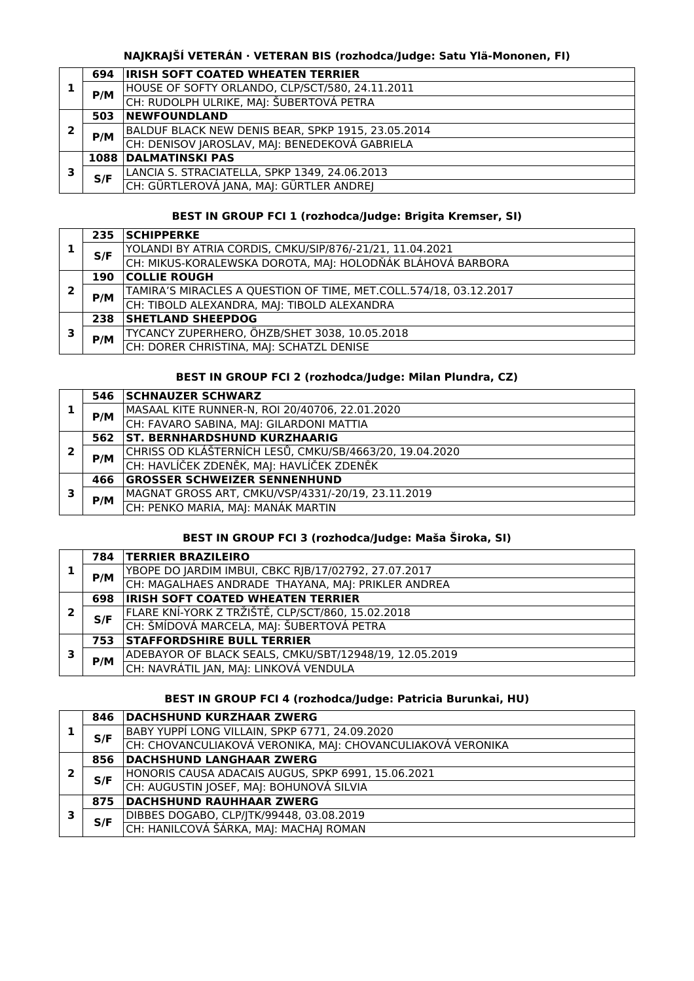# **NAJKRAJŠÍ VETERÁN · VETERAN BIS (rozhodca/Judge: Satu Ylä-Mononen, FI)**

|   | 694 | <b>IRISH SOFT COATED WHEATEN TERRIER</b>           |
|---|-----|----------------------------------------------------|
|   | P/M | HOUSE OF SOFTY ORLANDO, CLP/SCT/580, 24.11.2011    |
|   |     | CH: RUDOLPH ULRIKE, MAJ: ŠUBERTOVÁ PETRA           |
|   | 503 | <b>NEWFOUNDLAND</b>                                |
| 2 | P/M | BALDUF BLACK NEW DENIS BEAR, SPKP 1915, 23.05.2014 |
|   |     | CH: DENISOV JAROSLAV, MAJ: BENEDEKOVÁ GABRIELA     |
| 3 |     | <b>1088 DALMATINSKI PAS</b>                        |
|   | S/F | LANCIA S. STRACIATELLA, SPKP 1349, 24.06.2013      |
|   |     | CH: GÜRTLEROVÁ JANA, MAJ: GÜRTLER ANDREJ           |

# **BEST IN GROUP FCI 1 (rozhodca/Judge: Brigita Kremser, SI)**

|   | 235 | <b>SCHIPPERKE</b>                                                 |
|---|-----|-------------------------------------------------------------------|
|   | S/F | YOLANDI BY ATRIA CORDIS, CMKU/SIP/876/-21/21, 11.04.2021          |
|   |     | CH: MIKUS-KORALEWSKA DOROTA, MAJ: HOLODŇÁK BLÁHOVÁ BARBORA        |
|   | 190 | <b>COLLIE ROUGH</b>                                               |
|   | P/M | TAMIRA'S MIRACLES A QUESTION OF TIME, MET.COLL.574/18, 03.12.2017 |
|   |     | CH: TIBOLD ALEXANDRA, MAJ: TIBOLD ALEXANDRA                       |
| 3 | 238 | <b>SHETLAND SHEEPDOG</b>                                          |
|   | P/M | TYCANCY ZUPERHERO, ÖHZB/SHET 3038, 10.05.2018                     |
|   |     | CH: DORER CHRISTINA, MAJ: SCHATZL DENISE                          |

# **BEST IN GROUP FCI 2 (rozhodca/Judge: Milan Plundra, CZ)**

|   |     | 546 SCHNAUZER SCHWARZ                                   |
|---|-----|---------------------------------------------------------|
|   | P/M | MASAAL KITE RUNNER-N, ROI 20/40706, 22.01.2020          |
|   |     | CH: FAVARO SABINA, MAJ: GILARDONI MATTIA                |
|   |     | 562   ST. BERNHARDSHUND KURZHAARIG                      |
| 2 | P/M | CHRISS OD KLÁŠTERNÍCH LESŮ, CMKU/SB/4663/20, 19.04.2020 |
|   |     | CH: HAVLÍČEK ZDENĚK, MAJ: HAVLÍČEK ZDENĚK               |
| з | 466 | <b>GROSSER SCHWEIZER SENNENHUND</b>                     |
|   | P/M | MAGNAT GROSS ART, CMKU/VSP/4331/-20/19, 23.11.2019      |
|   |     | CH: PENKO MARIA, MAJ: MANÁK MARTIN                      |

# **BEST IN GROUP FCI 3 (rozhodca/Judge: Maša Široka, SI)**

|   | 784 | <b>TERRIER BRAZILEIRO</b>                              |
|---|-----|--------------------------------------------------------|
|   | P/M | YBOPE DO JARDIM IMBUI, CBKC RJB/17/02792, 27.07.2017   |
|   |     | CH: MAGALHAES ANDRADE THAYANA, MAJ: PRIKLER ANDREA     |
|   | 698 | <b>IRISH SOFT COATED WHEATEN TERRIER</b>               |
| 2 | S/F | FLARE KNÍ-YORK Z TRŽIŠTĚ, CLP/SCT/860, 15.02.2018      |
|   |     | CH: ŠMÍDOVÁ MARCELA, MAJ: ŠUBERTOVÁ PETRA              |
|   | 753 | <b>STAFFORDSHIRE BULL TERRIER</b>                      |
| 3 | P/M | ADEBAYOR OF BLACK SEALS, CMKU/SBT/12948/19, 12.05.2019 |
|   |     | CH: NAVRÁTIL JAN, MAJ: LINKOVÁ VENDULA                 |

# **BEST IN GROUP FCI 4 (rozhodca/Judge: Patricia Burunkai, HU)**

|   | 846 | <b>DACHSHUND KURZHAAR ZWERG</b>                             |
|---|-----|-------------------------------------------------------------|
|   | S/F | BABY YUPPÍ LONG VILLAIN, SPKP 6771, 24.09.2020              |
|   |     | CH: CHOVANCULIAKOVÁ VERONIKA, MAJ: CHOVANCULIAKOVÁ VERONIKA |
|   | 856 | <b>DACHSHUND LANGHAAR ZWERG</b>                             |
|   | S/F | HONORIS CAUSA ADACAIS AUGUS, SPKP 6991, 15.06.2021          |
|   |     | CH: AUGUSTIN JOSEF, MAJ: BOHUNOVÁ SILVIA                    |
|   | 875 | <b>DACHSHUND RAUHHAAR ZWERG</b>                             |
| 3 |     | DIBBES DOGABO, CLP/JTK/99448, 03.08.2019                    |
|   | S/F | CH: HANILCOVÁ ŠÁRKA, MAJ: MACHAJ ROMAN                      |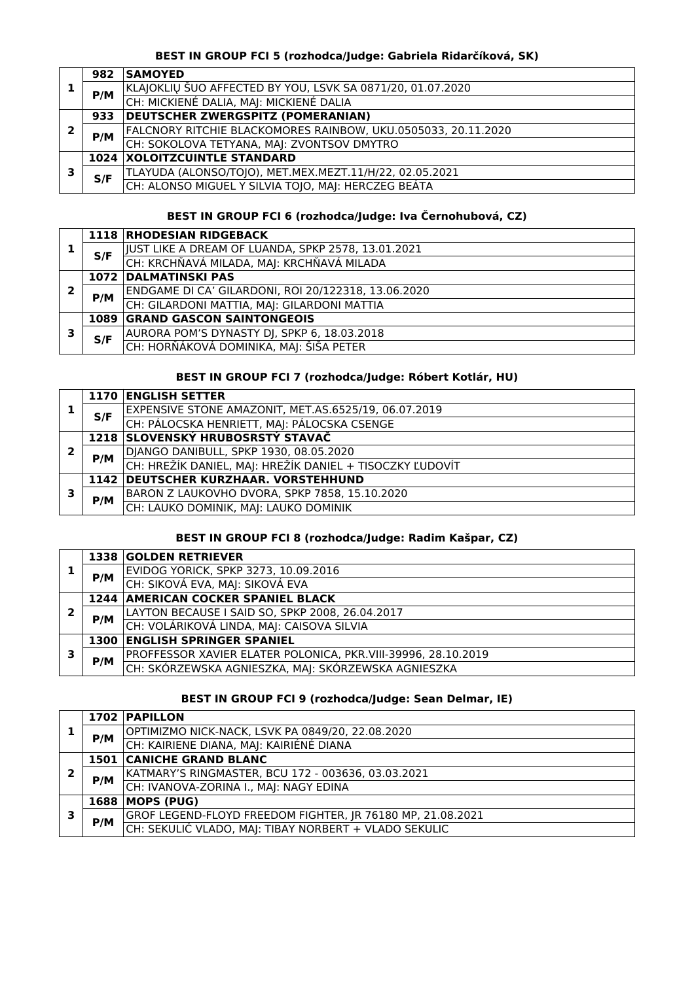# **BEST IN GROUP FCI 5 (rozhodca/Judge: Gabriela Ridarčíková, SK)**

|   | 982 | <b>SAMOYED</b>                                                |
|---|-----|---------------------------------------------------------------|
|   | P/M | KLAJOKLIŲ ŠUO AFFECTED BY YOU, LSVK SA 0871/20, 01.07.2020    |
|   |     | CH: MICKIENÉ DALIA, MAJ: MICKIENÉ DALIA                       |
|   | 933 | <b>DEUTSCHER ZWERGSPITZ (POMERANIAN)</b>                      |
| 7 | P/M | FALCNORY RITCHIE BLACKOMORES RAINBOW, UKU.0505033, 20.11.2020 |
|   |     | CH: SOKOLOVA TETYANA, MAJ: ZVONTSOV DMYTRO                    |
| э |     | <b>1024 XOLOITZCUINTLE STANDARD</b>                           |
|   | S/F | TLAYUDA (ALONSO/TOJO), MET.MEX.MEZT.11/H/22, 02.05.2021       |
|   |     | CH: ALONSO MIGUEL Y SILVIA TOJO, MAJ: HERCZEG BEÁTA           |

# **BEST IN GROUP FCI 6 (rozhodca/Judge: Iva Černohubová, CZ)**

|   |     | 1118 RHODESIAN RIDGEBACK                            |
|---|-----|-----------------------------------------------------|
|   | S/F | JUST LIKE A DREAM OF LUANDA, SPKP 2578, 13.01.2021  |
|   |     | CH: KRCHŇAVÁ MILADA, MAJ: KRCHŇAVÁ MILADA           |
|   |     | <b>1072 DALMATINSKI PAS</b>                         |
|   | P/M | ENDGAME DI CA' GILARDONI, ROI 20/122318, 13.06.2020 |
|   |     | CH: GILARDONI MATTIA, MAJ: GILARDONI MATTIA         |
|   |     | <b>1089 GRAND GASCON SAINTONGEOIS</b>               |
| 3 | S/F | AURORA POM'S DYNASTY DJ, SPKP 6, 18.03.2018         |
|   |     | CH: HORŇÁKOVÁ DOMINIKA, MAJ: ŠIŠA PETER             |

# **BEST IN GROUP FCI 7 (rozhodca/Judge: Róbert Kotlár, HU)**

|   |     | 1170 ENGLISH SETTER                                      |
|---|-----|----------------------------------------------------------|
|   | S/F | EXPENSIVE STONE AMAZONIT, MET.AS.6525/19, 06.07.2019     |
|   |     | CH: PÁLOCSKA HENRIETT, MAJ: PÁLOCSKA CSENGE              |
|   |     | 1218 SLOVENSKÝ HRUBOSRSTÝ STAVAČ                         |
| 2 | P/M | DJANGO DANIBULL, SPKP 1930, 08.05.2020                   |
|   |     | CH: HREŽÍK DANIEL, MAJ: HREŽÍK DANIEL + TISOCZKY ĽUDOVÍT |
|   |     | 1142 DEUTSCHER KURZHAAR. VORSTEHHUND                     |
| з | P/M | BARON Z LAUKOVHO DVORA, SPKP 7858, 15.10.2020            |
|   |     | CH: LAUKO DOMINIK, MAJ: LAUKO DOMINIK                    |

# **BEST IN GROUP FCI 8 (rozhodca/Judge: Radim Kašpar, CZ)**

|   |     | 1338 GOLDEN RETRIEVER                                         |
|---|-----|---------------------------------------------------------------|
|   | P/M | EVIDOG YORICK, SPKP 3273, 10.09.2016                          |
|   |     | CH: SIKOVÁ EVA, MAJ: SIKOVÁ EVA                               |
|   |     | <b>1244 AMERICAN COCKER SPANIEL BLACK</b>                     |
| 2 | P/M | LAYTON BECAUSE I SAID SO, SPKP 2008, 26.04.2017               |
|   |     | CH: VOLÁRIKOVÁ LINDA, MAJ: CAISOVA SILVIA                     |
|   |     | <b>1300 ENGLISH SPRINGER SPANIEL</b>                          |
| 3 | P/M | PROFFESSOR XAVIER ELATER POLONICA, PKR.VIII-39996, 28.10.2019 |
|   |     | CH: SKÓRZEWSKA AGNIESZKA, MAJ: SKÓRZEWSKA AGNIESZKA           |

# **BEST IN GROUP FCI 9 (rozhodca/Judge: Sean Delmar, IE)**

|   |     | 1702 PAPILLON                                              |
|---|-----|------------------------------------------------------------|
|   | P/M | OPTIMIZMO NICK-NACK, LSVK PA 0849/20, 22.08.2020           |
|   |     | CH: KAIRIENE DIANA, MAJ: KAIRIÉNÉ DIANA                    |
|   |     | <b>1501 CANICHE GRAND BLANC</b>                            |
| 2 | P/M | KATMARY'S RINGMASTER, BCU 172 - 003636, 03.03.2021         |
|   |     | CH: IVANOVA-ZORINA I., MAJ: NAGY EDINA                     |
|   |     | 1688   MOPS (PUG)                                          |
| З | P/M | GROF LEGEND-FLOYD FREEDOM FIGHTER, JR 76180 MP, 21.08.2021 |
|   |     | CH: SEKULIĆ VLADO, MAJ: TIBAY NORBERT + VLADO SEKULIC      |